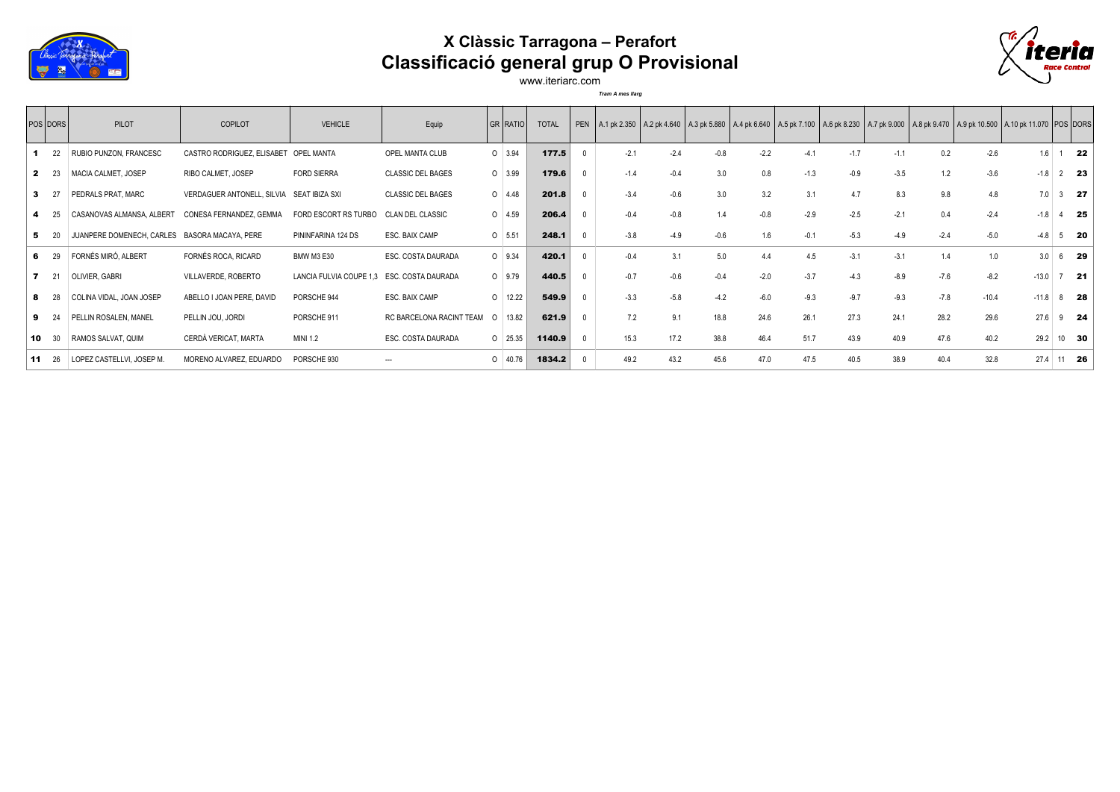

## **X Clàssic Tarragona – Perafort Classificació general grup O Provisional**



www.iteriarc.com *Tram A mes llarg*

|              | <b>POS DORS</b> | PILOT                                         | <b>COPILOT</b>                            | <b>VEHICLE</b>                             | Equip                    |                | GR   RATIO | <b>TOTAL</b> |              |        |        |        |        |        |        |        |        |         | PEN A.1 pk 2.350 A.2 pk 4.640 A.3 pk 5.880 A.4 pk 6.640 A.5 pk 7.100 A.6 pk 8.230 A.7 pk 9.000 A.8 pk 9.470 A.9 pk 10.500 A.10 pk 11.070 POS DORS |                   |
|--------------|-----------------|-----------------------------------------------|-------------------------------------------|--------------------------------------------|--------------------------|----------------|------------|--------------|--------------|--------|--------|--------|--------|--------|--------|--------|--------|---------|---------------------------------------------------------------------------------------------------------------------------------------------------|-------------------|
|              | 22              | RUBIO PUNZON, FRANCESC                        | CASTRO RODRIGUEZ, ELISABET                | <b>OPEL MANTA</b>                          | OPEL MANTA CLUB          | $0 \mid 3.94$  |            | 177.5        |              | $-2.1$ | $-2.4$ | $-0.8$ | $-2.2$ | $-4.1$ | $-1.7$ | $-1.1$ | 0.2    | $-2.6$  | 1.6                                                                                                                                               | - 22              |
| $\mathbf{2}$ | - 23            | MACIA CALMET, JOSEP                           | RIBO CALMET, JOSEP                        | <b>FORD SIERRA</b>                         | <b>CLASSIC DEL BAGES</b> | $0 \mid 3.99$  |            | 179.6        | $^{\circ}$   | $-1.4$ | $-0.4$ | 3.0    | 0.8    | $-1.3$ | $-0.9$ | $-3.5$ | 1.2    | $-3.6$  | $-1.8$                                                                                                                                            | $2^{\frac{1}{2}}$ |
|              |                 | PEDRALS PRAT, MARC                            | VERDAGUER ANTONELL, SILVIA SEAT IBIZA SXI |                                            | <b>CLASSIC DEL BAGES</b> | $0 \mid 4.48$  |            | 201.8        | $\Omega$     | $-3.4$ | $-0.6$ | 3.0    | 3.2    | 3.1    | 4.7    | 8.3    | 9.8    | 4.8     | 7.0                                                                                                                                               | $3$ 27            |
|              |                 | CASANOVAS ALMANSA, ALBERT                     | CONESA FERNANDEZ, GEMMA                   | FORD ESCORT RS TURBO                       | <b>CLAN DEL CLASSIC</b>  | $0 \mid 4.59$  |            | 206.4        |              | $-0.4$ | $-0.8$ | 1.4    | $-0.8$ | $-2.9$ | $-2.5$ | $-2.1$ | 0.4    | $-2.4$  | $-1.8$                                                                                                                                            | 4 25              |
|              |                 | JUANPERE DOMENECH, CARLES BASORA MACAYA, PERE |                                           | PININFARINA 124 DS                         | ESC. BAIX CAMP           | $0$ 5.51       |            | 248.1        | $\Omega$     | $-3.8$ | $-4.9$ | $-0.6$ | 1.6    | $-0.1$ | $-5.3$ | $-4.9$ | $-2.4$ | $-5.0$  | $-4.8$                                                                                                                                            | $5$ 20            |
|              | 6 29            | FORNÉS MIRÓ, ALBERT                           | FORNÉS ROCA, RICARD                       | <b>BMW M3 E30</b>                          | ESC. COSTA DAURADA       | $0$ 9.34       |            | 420.1        | $\Omega$     | $-0.4$ | 3.1    | 5.0    | 4.4    | 4.5    | $-3.1$ | $-3.1$ | 1.4    | 1.0     | 3.0                                                                                                                                               | 6 29              |
|              | 21              | OLIVIER, GABRI                                | VILLAVERDE, ROBERTO                       | LANCIA FULVIA COUPE 1,3 ESC. COSTA DAURADA |                          | $0 \mid 9.79$  |            | 440.5        | $\Omega$     | $-0.7$ | $-0.6$ | $-0.4$ | $-2.0$ | $-3.7$ | $-4.3$ | $-8.9$ | $-7.6$ | $-8.2$  | $-13.0$                                                                                                                                           | $7$ 21            |
|              |                 | COLINA VIDAL, JOAN JOSEP                      | ABELLO I JOAN PERE, DAVID                 | PORSCHE 944                                | ESC. BAIX CAMP           | $0 \mid 12.22$ |            | 549.9        | $\mathbf{0}$ | $-3.3$ | $-5.8$ | $-4.2$ | $-6.0$ | $-9.3$ | $-9.7$ | $-9.3$ | $-7.8$ | $-10.4$ | $-11.8$                                                                                                                                           | $8$ 28            |
| 9            |                 | PELLIN ROSALEN, MANEL                         | PELLIN JOU, JORDI                         | PORSCHE 911                                | RC BARCELONA RACINT TEAM | $\Omega$       | 13.82      | 621.9        | $^{\circ}$   | 7.2    | 9.1    | 18.8   | 24.6   | 26.1   | 27.3   | 24.1   | 28.2   | 29.6    | 27.6                                                                                                                                              | $9$ <b>24</b>     |
| 10           | 30              | RAMOS SALVAT, QUIM                            | CERDÀ VERICAT, MARTA                      | <b>MINI 1.2</b>                            | ESC. COSTA DAURADA       | $0 \mid 25.35$ |            | 1140.9       | $\Omega$     | 15.3   | 17.2   | 38.8   | 46.4   | 51.7   | 43.9   | 40.9   | 47.6   | 40.2    | 29.2                                                                                                                                              | 10 30             |
| -11          | 26              | LOPEZ CASTELLVI, JOSEP M.                     | MORENO ALVAREZ, EDUARDO                   | PORSCHE 930                                | $\overline{\phantom{a}}$ | $0 \mid 40.76$ |            | 1834.2       |              | 49.2   | 43.2   | 45.6   | 47.0   | 47.5   | 40.5   | 38.9   | 40.4   | 32.8    | 27.4                                                                                                                                              | 11 26             |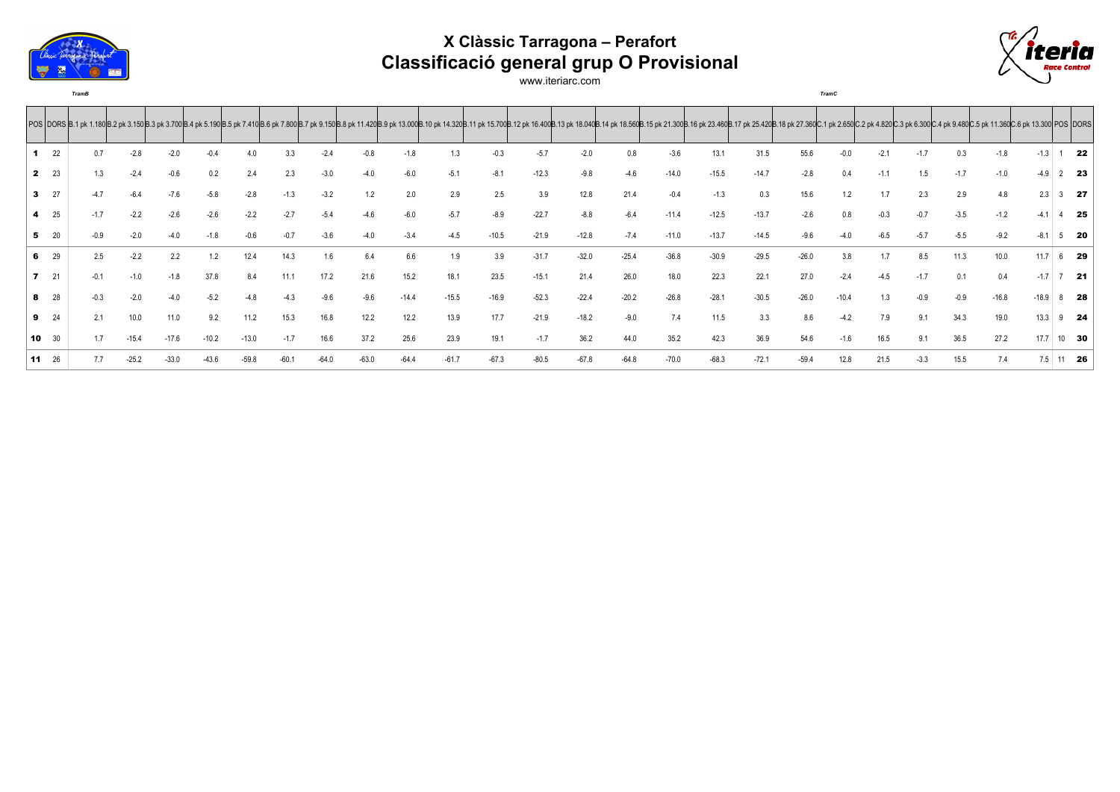

## **X Clàssic Tarragona – Perafort Classificació general grup O Provisional**



www.iteriarc.com

*TramB TramC*

|              |          |        |         |         |         |         |         |        |         |         |         | POS  DORS  B.1 pk 1.180 B.2 pk 3.150 B.3 pk 3.700 B.4 pk 5.190 B.5 pk 7.410 B.6 pk 7.800 B.7 pk 9.150 B.8 pk 11.420 B.9 pk 11.420 B.9 pk 11.300 B.11 pk 15.700 B.11 pk 15.700 B.12 pk 16.400B.13 pk 18.500 B.15 pk 18.300 B.15 |         |         |         |         |         |         |         |         |        |        |        |         |         |               |
|--------------|----------|--------|---------|---------|---------|---------|---------|--------|---------|---------|---------|--------------------------------------------------------------------------------------------------------------------------------------------------------------------------------------------------------------------------------|---------|---------|---------|---------|---------|---------|---------|---------|--------|--------|--------|---------|---------|---------------|
|              | 22       | 0.7    | $-2.8$  | $-2.0$  | $-0.4$  | 4.0     | 3.3     | $-2.4$ | $-0.8$  | $-1.8$  | 1.3     | $-0.3$                                                                                                                                                                                                                         | $-5.7$  | $-2.0$  | 0.8     | $-3.6$  | 13.1    | 31.5    | 55.6    | $-0.0$  | $-2.1$ | $-1.7$ | 0.3    | $-1.8$  | $-1.3$  | 22            |
| $\mathbf{2}$ | 23       | 1.3    | $-2.4$  | $-0.6$  | 0.2     | 2.4     | 2.3     | $-3.0$ |         |         | $-5.1$  | $-8.1$                                                                                                                                                                                                                         | $-12.3$ | $-9.8$  | $-4.6$  | $-14.0$ | $-15.5$ | $-14.7$ | $-2.8$  | 0.4     | $-1.1$ | 1.5    | $-1.7$ | $-1.0$  | $-4.9$  | $2$ 23        |
| 3            | 27       |        |         | $-7.6$  | $-5.8$  | $-2.8$  | $-1.3$  | $-3.2$ | 1.2     | 2.0     | 2.9     | 2.5                                                                                                                                                                                                                            | 3.9     | 12.8    | 21.4    | $-0.4$  | $-1.3$  | 0.3     | 15.6    |         |        | 2.3    | 2.9    | 4.8     | 2.3     | 27            |
|              | 25       | $-1.7$ |         | $-2.6$  | $-2.6$  |         | $-2.7$  |        |         |         |         | $-8.9$                                                                                                                                                                                                                         | $-22.7$ | $-8.8$  | $-6.4$  | $-11.4$ | $-12.5$ | $-13.7$ | $-2.6$  | 0.8     | $-0.3$ |        | $-3.5$ | $-1.2$  |         | $4$ 25        |
|              | 20       |        |         |         |         |         |         |        |         |         |         | $-10.5$                                                                                                                                                                                                                        | $-21.9$ | $-12.8$ | $-7.4$  | $-11.0$ | $-13.7$ | $-14.5$ |         |         |        |        |        | $-9.2$  |         | 20            |
| 6            | 29       | 2.5    | $-2.2$  | 2.2     | 1.2     | 12.4    | 14.3    | 1.6    |         | 6.6     | 1.9     | 3.9                                                                                                                                                                                                                            | $-31.7$ | $-32.0$ | $-25.4$ | $-36.8$ | $-30.9$ | $-29.5$ | $-26.0$ | 3.8     |        | 8.5    | 11.3   | 10.0    | 11.7    | 6 29          |
| 7            | 21       | $-0.1$ | $-1.0$  | $-1.8$  |         |         | 11.1    | 17.2   | 21.6    | 15.2    | 18.1    | 23.5                                                                                                                                                                                                                           | $-15.1$ | 21.4    | 26.0    | 18.0    | 22.3    | 22.1    | 27.0    | $-2.4$  | $-4.5$ | $-1.7$ | 0.1    | 0.4     | $-17$   | $7$ 21        |
|              | 28       |        | $-2.0$  | $-4.0$  | $-5.2$  |         | $-4.3$  | $-9.6$ | $-9.6$  | $-14.4$ | $-15.5$ | $-16.9$                                                                                                                                                                                                                        | $-52.3$ | $-22.4$ | $-20.2$ | $-26.8$ | $-28.1$ | $-30.5$ | $-26.0$ | $-10.4$ | 1.3    | $-0.9$ | $-0.9$ | $-16.8$ | $-18.9$ | $8$ 28        |
|              | $9 \t24$ |        | 10.0    | 11.0    | 9.2     | 11.2    | 15.3    | 16.8   | 12.2    | 12.2    | 13.9    | 17.7                                                                                                                                                                                                                           | $-21.9$ | $-18.2$ | $-9.0$  | 7.4     | 11.5    | 3.3     | 8.6     | $-4.2$  | 7.9    | 9.1    | 34.3   | 19.0    | 13.3    | $9$ <b>24</b> |
| 10           | 30       | 1.7    | $-15.4$ | $-17.6$ | $-10.2$ | $-13.0$ | $-1.7$  | 16.6   | 37.2    | 25.6    | 23.9    | 19.1                                                                                                                                                                                                                           | $-1.7$  | 36.2    | 44.0    | 35.2    | 42.3    | 36.9    | 54.6    | $-1.6$  | 16.5   | 9.1    | 36.5   | 27.2    | 17.7    | $10$ 30       |
| 11           | 26       |        | $-25.2$ | $-33.0$ |         | $-59.8$ | $-60.1$ |        | $-63.0$ | $-64.4$ | $-61.7$ | $-67.3$                                                                                                                                                                                                                        | $-80.5$ | $-67.8$ | $-64.8$ | $-70.0$ | $-68.3$ | $-72.1$ | $-59.4$ | 12.8    | 21.5   | $-3.3$ | 15.5   | 7.4     | 7.5     | 11 26         |